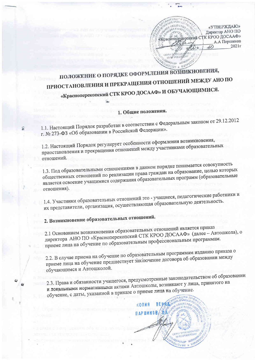

## КНОВЕНИЯ. ПОЛОЖЕНИЕ О ПОРЯДКЕ ОФОРМЛЕНИЯ ВОЗН ПРИОСТАНОВЛЕНИЯ И ПРЕКРАЩЕНИЯ ОТНОШЕНИЙ МЕЖДУ АНО ПО «Красноперекопский СТК КРОО ДОСААФ» И ОБУЧАЮЩИМИСЯ.

### 1. Общие положения.

1.1. Настоящий Порядок разработан в соответствии с Федеральным законом от 29.12.2012 г. № 273-ФЗ «Об образовании в Российской Федерации».

1.2. Настоящий Порядок регулирует особенности оформления возникновения, приостановления и прекращения отношений между участниками образовательных отношений.

1.3. Под образовательными отношениями в данном порядке понимается совокупность общественных отношений по реализации права граждан на образование, целью которых является освоение учащимися содержания образовательных программ (образовательные отношения).

1.4. Участники образовательных отношений это - учащиеся, педагогические работники и их представители, организация, осуществляющая образовательную деятельность.

# 2. Возникновение образовательных отношений.

2.1 Основанием возникновения образовательных отношений является приказ директора АНО ПО «Красноперекопский СТК КРОО ДОСААФ» (далее - Автошкола), о приеме лица на обучение по образовательным профессиональным программам.

2.2. В случае приема на обучение по образовательным программам изданию приказа о приеме лица на обучение предшествует заключение договора об образовании между обучающимся и Автошколой.

2.3. Права и обязанности учащегося, предусмотренные законодательством об образовании и локальными нормативными актами Автошколы, возникают у лица, принятого на обучение, с даты, указанной в приказе о приеме лица на обучение.

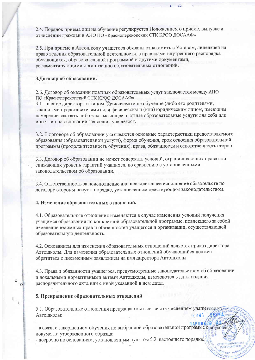2.4. Порядок приема лиц на обучение регулируется Положением о приеме, выпуске и отчислении граждан в АНО ПО «Красноперекопский СТК КРОО ДОСААФ»

2.5. При приеме в Автошколу учащегося обязаны ознакомить с Уставом, лицензией на право ведения образовательной деятельности, с правилами внутреннего распорядка обучающихся, образовательной программой и другими документами, регламентирующими организацию образовательных отношений.

#### 3. Договор об образовании.

2.6. Договор об оказании платных образовательных услуг заключается между АНО ПО «Красноперекопский СТК КРОО ДОСААФ»

3.1. в лице директора и лицом. Зачисляемым на обучение (либо его родителями, законными представителями) или физическим и (или) юридическим лицом, имеющим намерение заказать либо заказывающее платные образовательные услуги для себя или иных лиц на основании заявления учащегося.

3.2. В договоре об образовании указываются основные характеристики предоставляемого образования (образовательной услуги), форма обучения, срок освоения образовательной программы (продолжительность обучения), права, обязанности и ответственность сторон.

3.3. Договор об образовании не может содержать условий, ограничивающих права или снижающих уровень гарантий учащихся, по сравнению с установленными законодательством об образовании.

3.4. Ответственность за неисполнение или ненадлежащее исполнение обязательств по договору стороны несут в порядке, установленном действующим законодательством.

#### 4. Изменение образовательных отношений.

4.1. Образовательные отношения изменяются в случае изменения условий получения учащимся образования по конкретной образовательной программе, повлекшего за собой изменение взаимных прав и обязанностей учащегося и организации, осуществляющей образовательную деятельность.

4.2. Основанием для изменения образовательных отношений является приказ директора Автошколы. Для изменения образовательных отношений обучающийся должен обратиться с письменным заявлением на имя директора Автошколы.

4.3. Права и обязанности учащегося, предусмотренные законодательством об образовании и локальными нормативными актами Автошколы, изменяются с даты издания распорядительного акта или с иной указанной в нем даты.

#### 5. Прекращение образовательных отношений

 $\tilde{\bullet}$ 

5.1. Образовательные отношения прекращаются в связи с отчислением учащегося измания FIMA Автошколы: **BOJNA** 

л ар шинением обучения по выбранной образовательной программе с выпачей - в связи с завершением обучения по выбранной образовательной программе с выпачей документа утвержденного образца;

- досрочно по основаниям, установленным пунктом 5.2. настоящего порядка.